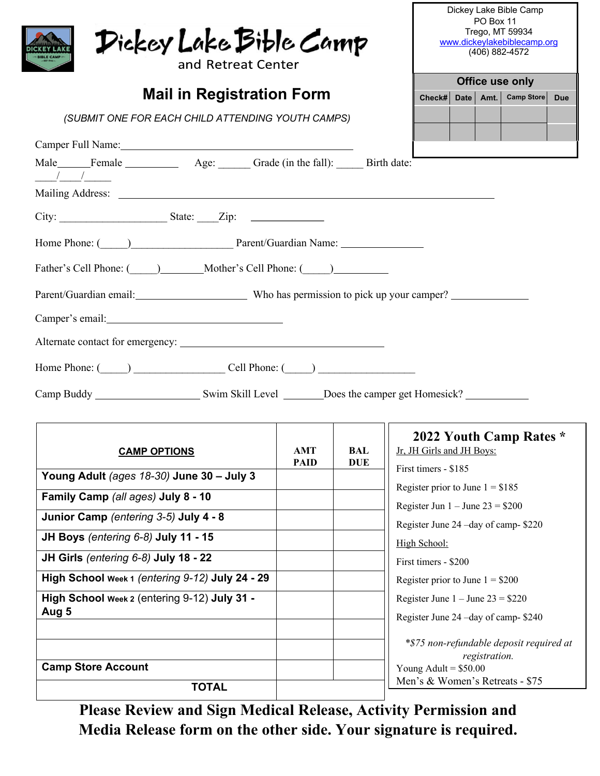| Dickey Lake Bible Camp<br>and Retreat Center<br><b>Mail in Registration Form</b>                                     |                           |                          | Dickey Lake Bible Camp<br>PO Box 11<br>Trego, MT 59934<br>www.dickeylakebiblecamp.org<br>(406) 882-4572<br>Office use only<br>Check#   Date   Amt.   Camp Store  <br><b>Due</b> |  |                                                         |  |  |  |
|----------------------------------------------------------------------------------------------------------------------|---------------------------|--------------------------|---------------------------------------------------------------------------------------------------------------------------------------------------------------------------------|--|---------------------------------------------------------|--|--|--|
| (SUBMIT ONE FOR EACH CHILD ATTENDING YOUTH CAMPS)                                                                    |                           |                          |                                                                                                                                                                                 |  |                                                         |  |  |  |
| Camper Full Name: 1988 and 1988 and 1988 and 1988 and 1988 and 1988 and 1988 and 1988 and 1988 and 1988 and 19       |                           |                          |                                                                                                                                                                                 |  |                                                         |  |  |  |
| Male______Female_________________________________Grade (in the fall): ________Birth date:                            |                           |                          |                                                                                                                                                                                 |  |                                                         |  |  |  |
|                                                                                                                      |                           |                          |                                                                                                                                                                                 |  |                                                         |  |  |  |
| Home Phone: (Comparison Library Parent/Guardian Name: Comparison Library Parent/Guardian Name:                       |                           |                          |                                                                                                                                                                                 |  |                                                         |  |  |  |
| Father's Cell Phone: ( ) Mother's Cell Phone: ( )                                                                    |                           |                          |                                                                                                                                                                                 |  |                                                         |  |  |  |
| Parent/Guardian email: Who has permission to pick up your camper?<br>Camper's email: Universe of the Camper's email: |                           |                          |                                                                                                                                                                                 |  |                                                         |  |  |  |
|                                                                                                                      |                           |                          |                                                                                                                                                                                 |  |                                                         |  |  |  |
|                                                                                                                      |                           |                          |                                                                                                                                                                                 |  | Home Phone: $\qquad \qquad$ Cell Phone: $\qquad \qquad$ |  |  |  |
| <b>CAMP OPTIONS</b>                                                                                                  | <b>AMT</b><br><b>PAID</b> | <b>BAL</b><br><b>DUE</b> | 2022 Youth Camp Rates *<br>Jr, JH Girls and JH Boys:                                                                                                                            |  |                                                         |  |  |  |
| Young Adult (ages 18-30) June 30 - July 3                                                                            |                           |                          | First timers - \$185<br>Register prior to June $1 = $185$                                                                                                                       |  |                                                         |  |  |  |
| Family Camp (all ages) July 8 - 10                                                                                   |                           |                          | Register Jun $1 -$ June $23 = $200$                                                                                                                                             |  |                                                         |  |  |  |
| Junior Camp (entering 3-5) July 4 - 8                                                                                |                           |                          | Register June 24 -day of camp-\$220                                                                                                                                             |  |                                                         |  |  |  |
| JH Boys (entering 6-8) July 11 - 15                                                                                  |                           |                          | High School:                                                                                                                                                                    |  |                                                         |  |  |  |
| JH Girls (entering 6-8) July 18 - 22                                                                                 |                           |                          | First timers - \$200                                                                                                                                                            |  |                                                         |  |  |  |
| High School Week 1 (entering 9-12) July 24 - 29                                                                      |                           |                          | Register prior to June $1 = $200$                                                                                                                                               |  |                                                         |  |  |  |
| High School Week 2 (entering 9-12) July 31 -<br>Aug 5                                                                |                           |                          | Register June $1 -$ June $23 = $220$<br>Register June 24 -day of camp-\$240                                                                                                     |  |                                                         |  |  |  |
|                                                                                                                      |                           |                          |                                                                                                                                                                                 |  |                                                         |  |  |  |
|                                                                                                                      |                           |                          | *\$75 non-refundable deposit required at<br>registration.                                                                                                                       |  |                                                         |  |  |  |
| <b>Camp Store Account</b>                                                                                            |                           |                          | Young Adult = $$50.00$                                                                                                                                                          |  |                                                         |  |  |  |
| <b>TOTAL</b>                                                                                                         |                           |                          | Men's & Women's Retreats - \$75                                                                                                                                                 |  |                                                         |  |  |  |

**Please Review and Sign Medical Release, Activity Permission and Media Release form on the other side. Your signature is required.**